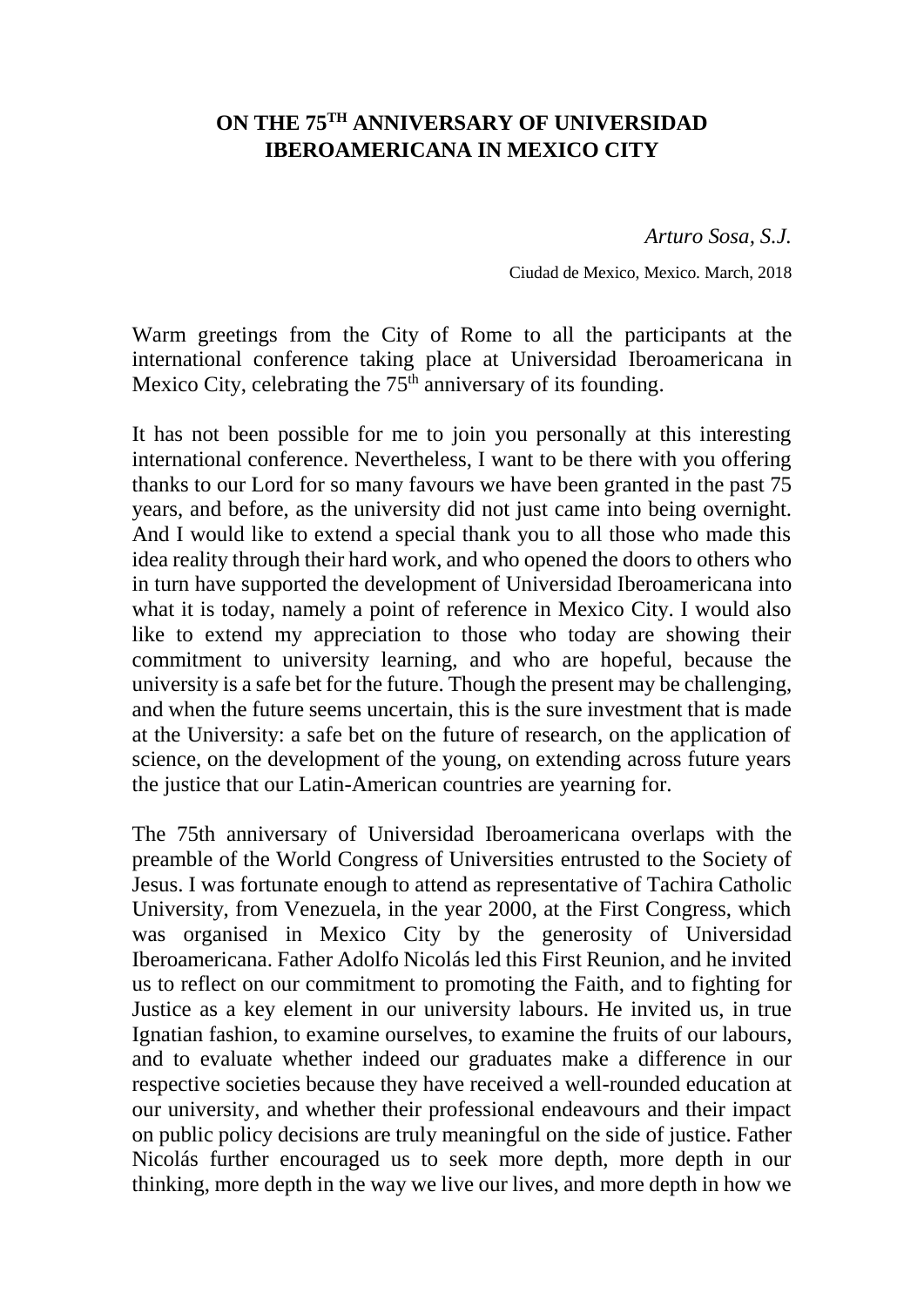## **ON THE 75TH ANNIVERSARY OF UNIVERSIDAD IBEROAMERICANA IN MEXICO CITY**

*Arturo Sosa, S.J.*

Ciudad de Mexico, Mexico. March, 2018

Warm greetings from the City of Rome to all the participants at the international conference taking place at Universidad Iberoamericana in Mexico City, celebrating the  $75<sup>th</sup>$  anniversary of its founding.

It has not been possible for me to join you personally at this interesting international conference. Nevertheless, I want to be there with you offering thanks to our Lord for so many favours we have been granted in the past 75 years, and before, as the university did not just came into being overnight. And I would like to extend a special thank you to all those who made this idea reality through their hard work, and who opened the doors to others who in turn have supported the development of Universidad Iberoamericana into what it is today, namely a point of reference in Mexico City. I would also like to extend my appreciation to those who today are showing their commitment to university learning, and who are hopeful, because the university is a safe bet for the future. Though the present may be challenging, and when the future seems uncertain, this is the sure investment that is made at the University: a safe bet on the future of research, on the application of science, on the development of the young, on extending across future years the justice that our Latin-American countries are yearning for.

The 75th anniversary of Universidad Iberoamericana overlaps with the preamble of the World Congress of Universities entrusted to the Society of Jesus. I was fortunate enough to attend as representative of Tachira Catholic University, from Venezuela, in the year 2000, at the First Congress, which was organised in Mexico City by the generosity of Universidad Iberoamericana. Father Adolfo Nicolás led this First Reunion, and he invited us to reflect on our commitment to promoting the Faith, and to fighting for Justice as a key element in our university labours. He invited us, in true Ignatian fashion, to examine ourselves, to examine the fruits of our labours, and to evaluate whether indeed our graduates make a difference in our respective societies because they have received a well-rounded education at our university, and whether their professional endeavours and their impact on public policy decisions are truly meaningful on the side of justice. Father Nicolás further encouraged us to seek more depth, more depth in our thinking, more depth in the way we live our lives, and more depth in how we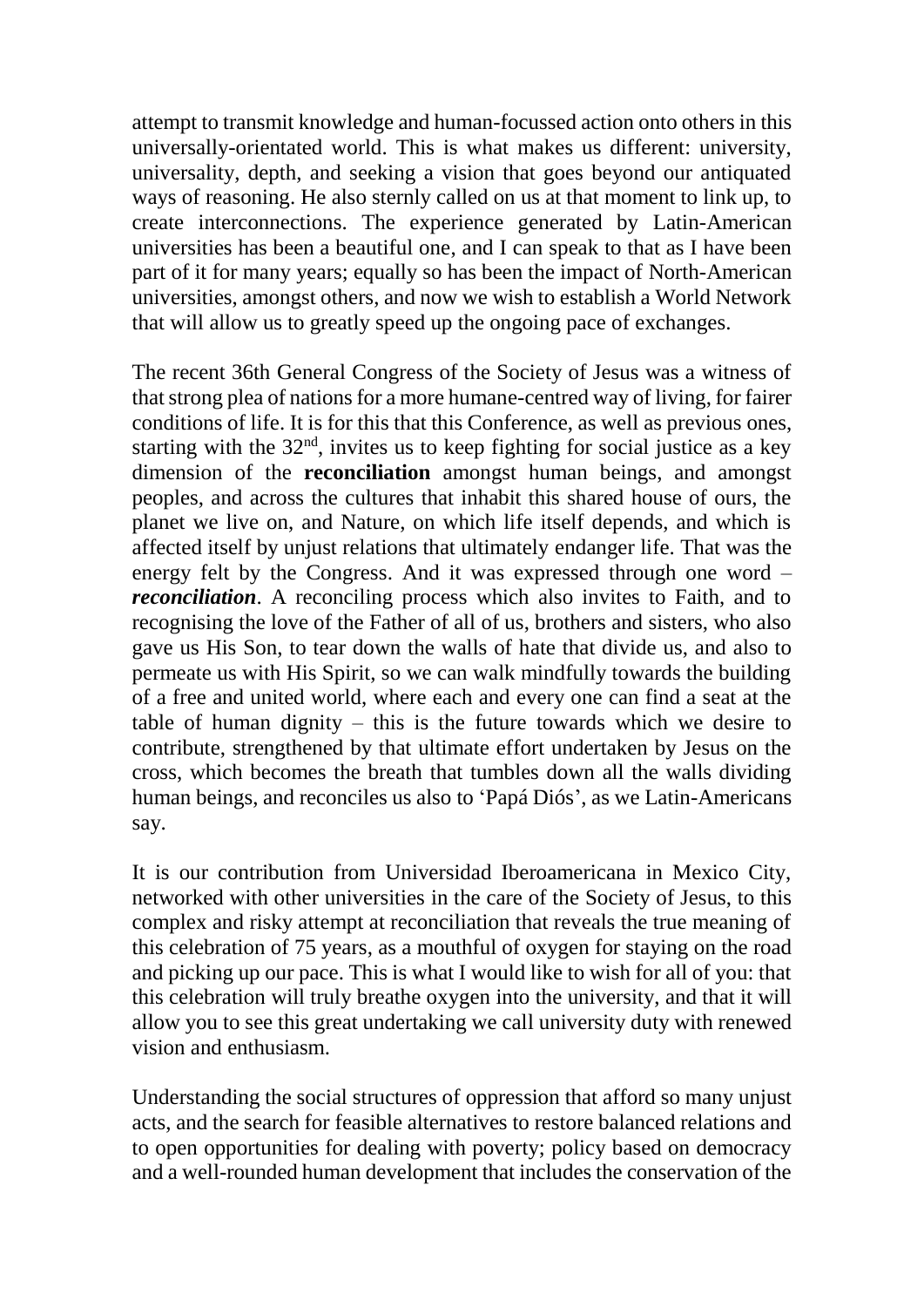attempt to transmit knowledge and human-focussed action onto others in this universally-orientated world. This is what makes us different: university, universality, depth, and seeking a vision that goes beyond our antiquated ways of reasoning. He also sternly called on us at that moment to link up, to create interconnections. The experience generated by Latin-American universities has been a beautiful one, and I can speak to that as I have been part of it for many years; equally so has been the impact of North-American universities, amongst others, and now we wish to establish a World Network that will allow us to greatly speed up the ongoing pace of exchanges.

The recent 36th General Congress of the Society of Jesus was a witness of that strong plea of nations for a more humane-centred way of living, for fairer conditions of life. It is for this that this Conference, as well as previous ones, starting with the  $32<sup>nd</sup>$ , invites us to keep fighting for social justice as a key dimension of the **reconciliation** amongst human beings, and amongst peoples, and across the cultures that inhabit this shared house of ours, the planet we live on, and Nature, on which life itself depends, and which is affected itself by unjust relations that ultimately endanger life. That was the energy felt by the Congress. And it was expressed through one word – *reconciliation*. A reconciling process which also invites to Faith, and to recognising the love of the Father of all of us, brothers and sisters, who also gave us His Son, to tear down the walls of hate that divide us, and also to permeate us with His Spirit, so we can walk mindfully towards the building of a free and united world, where each and every one can find a seat at the table of human dignity – this is the future towards which we desire to contribute, strengthened by that ultimate effort undertaken by Jesus on the cross, which becomes the breath that tumbles down all the walls dividing human beings, and reconciles us also to 'Papá Diós', as we Latin-Americans say.

It is our contribution from Universidad Iberoamericana in Mexico City, networked with other universities in the care of the Society of Jesus, to this complex and risky attempt at reconciliation that reveals the true meaning of this celebration of 75 years, as a mouthful of oxygen for staying on the road and picking up our pace. This is what I would like to wish for all of you: that this celebration will truly breathe oxygen into the university, and that it will allow you to see this great undertaking we call university duty with renewed vision and enthusiasm.

Understanding the social structures of oppression that afford so many unjust acts, and the search for feasible alternatives to restore balanced relations and to open opportunities for dealing with poverty; policy based on democracy and a well-rounded human development that includes the conservation of the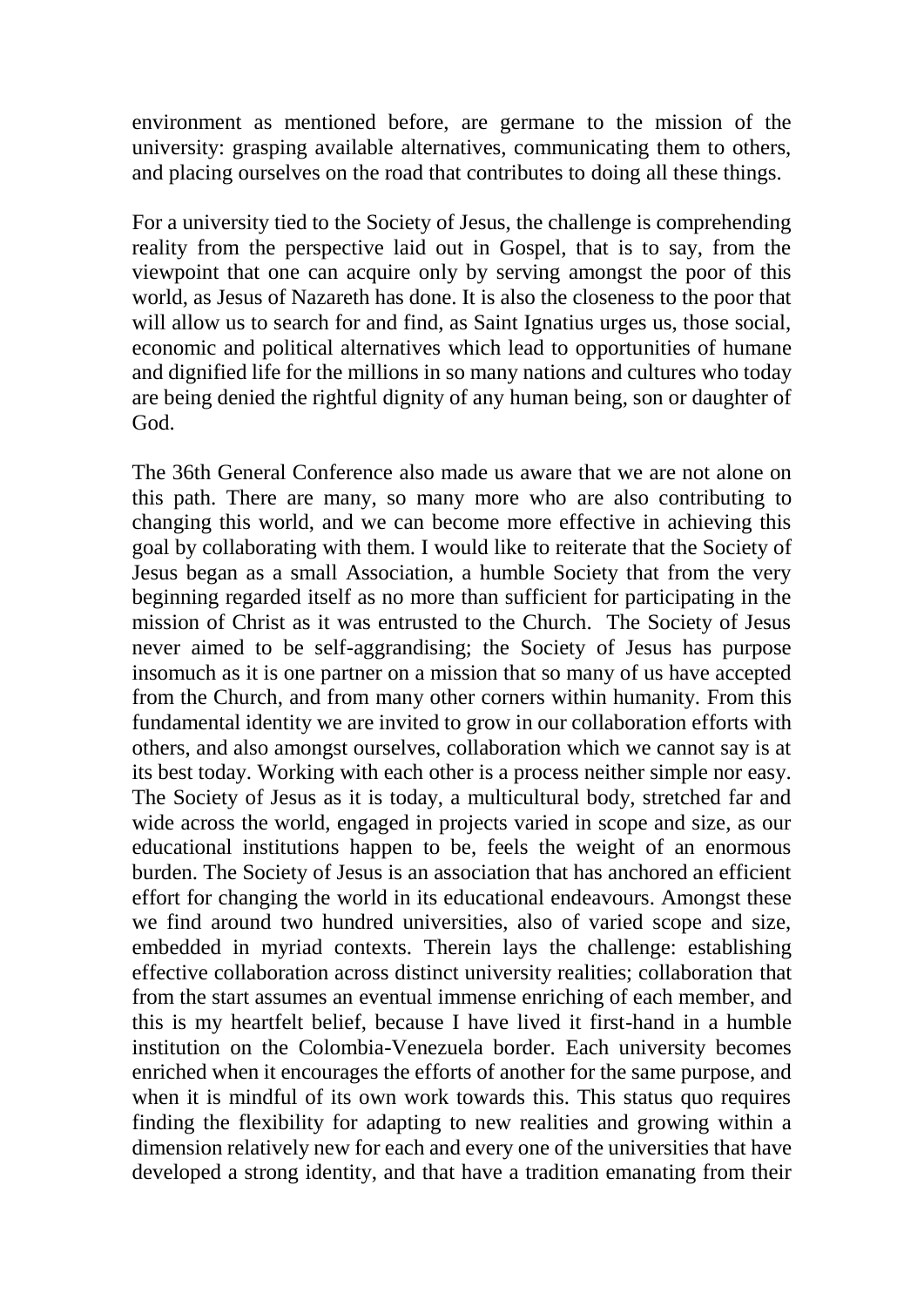environment as mentioned before, are germane to the mission of the university: grasping available alternatives, communicating them to others, and placing ourselves on the road that contributes to doing all these things.

For a university tied to the Society of Jesus, the challenge is comprehending reality from the perspective laid out in Gospel, that is to say, from the viewpoint that one can acquire only by serving amongst the poor of this world, as Jesus of Nazareth has done. It is also the closeness to the poor that will allow us to search for and find, as Saint Ignatius urges us, those social, economic and political alternatives which lead to opportunities of humane and dignified life for the millions in so many nations and cultures who today are being denied the rightful dignity of any human being, son or daughter of God.

The 36th General Conference also made us aware that we are not alone on this path. There are many, so many more who are also contributing to changing this world, and we can become more effective in achieving this goal by collaborating with them. I would like to reiterate that the Society of Jesus began as a small Association, a humble Society that from the very beginning regarded itself as no more than sufficient for participating in the mission of Christ as it was entrusted to the Church. The Society of Jesus never aimed to be self-aggrandising; the Society of Jesus has purpose insomuch as it is one partner on a mission that so many of us have accepted from the Church, and from many other corners within humanity. From this fundamental identity we are invited to grow in our collaboration efforts with others, and also amongst ourselves, collaboration which we cannot say is at its best today. Working with each other is a process neither simple nor easy. The Society of Jesus as it is today, a multicultural body, stretched far and wide across the world, engaged in projects varied in scope and size, as our educational institutions happen to be, feels the weight of an enormous burden. The Society of Jesus is an association that has anchored an efficient effort for changing the world in its educational endeavours. Amongst these we find around two hundred universities, also of varied scope and size, embedded in myriad contexts. Therein lays the challenge: establishing effective collaboration across distinct university realities; collaboration that from the start assumes an eventual immense enriching of each member, and this is my heartfelt belief, because I have lived it first-hand in a humble institution on the Colombia-Venezuela border. Each university becomes enriched when it encourages the efforts of another for the same purpose, and when it is mindful of its own work towards this. This status quo requires finding the flexibility for adapting to new realities and growing within a dimension relatively new for each and every one of the universities that have developed a strong identity, and that have a tradition emanating from their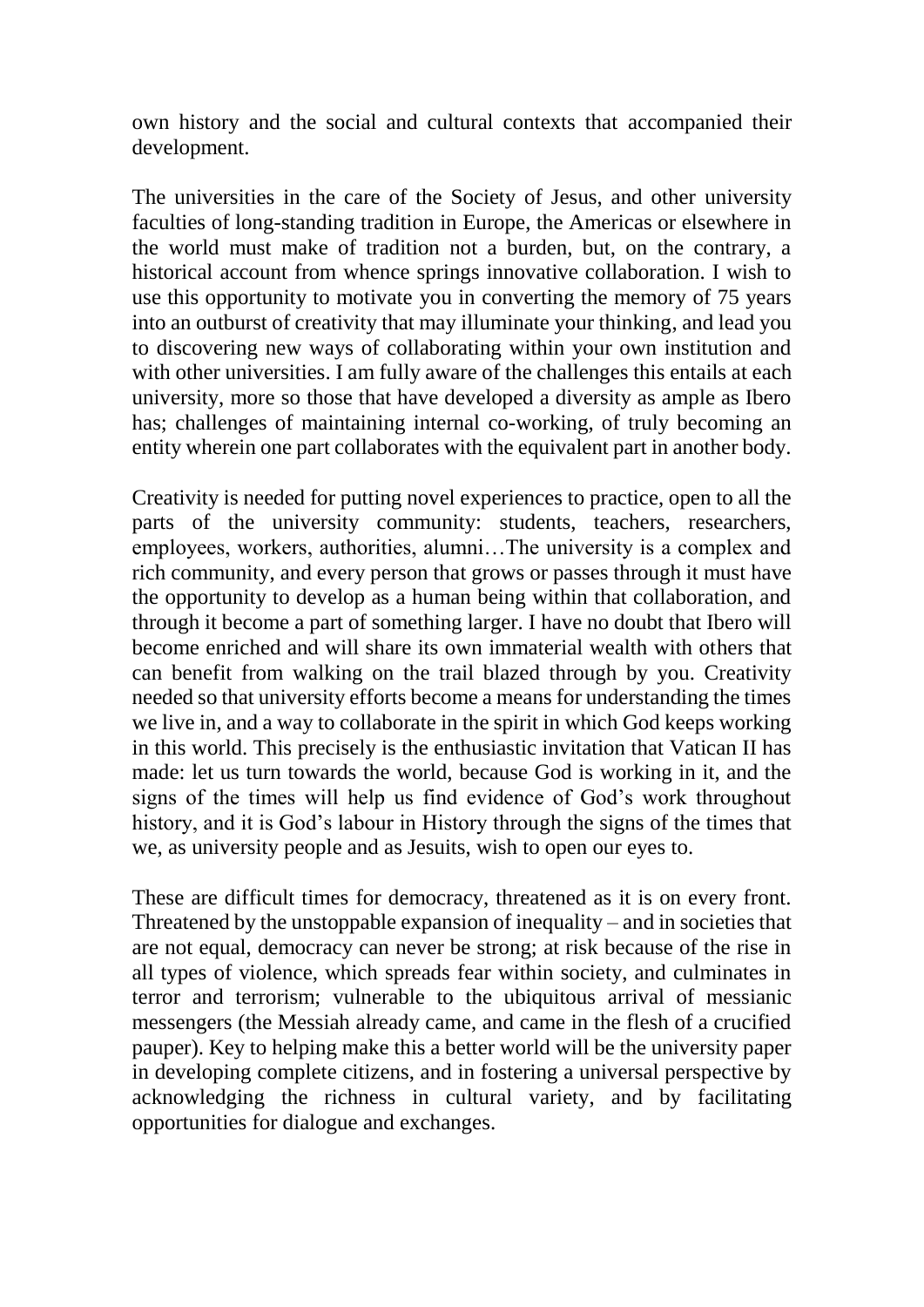own history and the social and cultural contexts that accompanied their development.

The universities in the care of the Society of Jesus, and other university faculties of long-standing tradition in Europe, the Americas or elsewhere in the world must make of tradition not a burden, but, on the contrary, a historical account from whence springs innovative collaboration. I wish to use this opportunity to motivate you in converting the memory of 75 years into an outburst of creativity that may illuminate your thinking, and lead you to discovering new ways of collaborating within your own institution and with other universities. I am fully aware of the challenges this entails at each university, more so those that have developed a diversity as ample as Ibero has; challenges of maintaining internal co-working, of truly becoming an entity wherein one part collaborates with the equivalent part in another body.

Creativity is needed for putting novel experiences to practice, open to all the parts of the university community: students, teachers, researchers, employees, workers, authorities, alumni…The university is a complex and rich community, and every person that grows or passes through it must have the opportunity to develop as a human being within that collaboration, and through it become a part of something larger. I have no doubt that Ibero will become enriched and will share its own immaterial wealth with others that can benefit from walking on the trail blazed through by you. Creativity needed so that university efforts become a means for understanding the times we live in, and a way to collaborate in the spirit in which God keeps working in this world. This precisely is the enthusiastic invitation that Vatican II has made: let us turn towards the world, because God is working in it, and the signs of the times will help us find evidence of God's work throughout history, and it is God's labour in History through the signs of the times that we, as university people and as Jesuits, wish to open our eyes to.

These are difficult times for democracy, threatened as it is on every front. Threatened by the unstoppable expansion of inequality – and in societies that are not equal, democracy can never be strong; at risk because of the rise in all types of violence, which spreads fear within society, and culminates in terror and terrorism; vulnerable to the ubiquitous arrival of messianic messengers (the Messiah already came, and came in the flesh of a crucified pauper). Key to helping make this a better world will be the university paper in developing complete citizens, and in fostering a universal perspective by acknowledging the richness in cultural variety, and by facilitating opportunities for dialogue and exchanges.